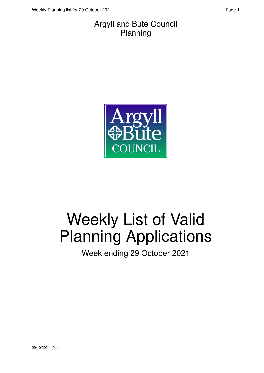#### Argyll and Bute Council Planning



# Weekly List of Valid Planning Applications

Week ending 29 October 2021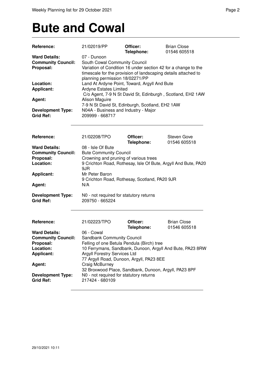### **Bute and Cowal**

| Reference:                                                                                                                                                        | 21/02019/PP                                                                                                                                                                                                                                                                                                               | Officer:<br>Telephone: | <b>Brian Close</b><br>01546 605518                        |
|-------------------------------------------------------------------------------------------------------------------------------------------------------------------|---------------------------------------------------------------------------------------------------------------------------------------------------------------------------------------------------------------------------------------------------------------------------------------------------------------------------|------------------------|-----------------------------------------------------------|
| <b>Ward Details:</b><br><b>Community Council:</b><br>Proposal:<br>Location:<br><b>Applicant:</b>                                                                  | 07 - Dunoon<br>South Cowal Community Council<br>Variation of Condition 16 under section 42 for a change to the<br>timescale for the provision of landscaping details attached to<br>planning permission 18/02271/PP<br>Land At Ardyne Point, Toward, Argyll And Bute<br><b>Ardyne Estates Limited</b>                     |                        |                                                           |
| Agent:<br><b>Development Type:</b>                                                                                                                                | C/o Agent, 7-9 N St David St, Edinburgh, Scotland, EH2 1AW<br>Alison Maguire<br>7-9 N St David St, Edinburgh, Scotland, EH2 1AW<br>N04A - Business and Industry - Major                                                                                                                                                   |                        |                                                           |
| <b>Grid Ref:</b>                                                                                                                                                  | 209999 - 668717                                                                                                                                                                                                                                                                                                           |                        |                                                           |
| Reference:                                                                                                                                                        | 21/02208/TPO                                                                                                                                                                                                                                                                                                              | Officer:<br>Telephone: | <b>Steven Gove</b><br>01546 605518                        |
| <b>Ward Details:</b><br><b>Community Council:</b><br>Proposal:<br>Location:<br><b>Applicant:</b><br>Agent:                                                        | 08 - Isle Of Bute<br><b>Bute Community Council</b><br>Crowning and pruning of various trees<br>9 Crichton Road, Rothesay, Isle Of Bute, Argyll And Bute, PA20<br>9JR<br>Mr Peter Baron<br>9 Crichton Road, Rothesay, Scotland, PA20 9JR<br>N/A                                                                            |                        |                                                           |
| <b>Development Type:</b><br><b>Grid Ref:</b>                                                                                                                      | N0 - not required for statutory returns<br>209750 - 665224                                                                                                                                                                                                                                                                |                        |                                                           |
| Reference:                                                                                                                                                        | 21/02223/TPO                                                                                                                                                                                                                                                                                                              | Officer:<br>Telephone: | <b>Brian Close</b><br>01546 605518                        |
| <b>Ward Details:</b><br><b>Community Council:</b><br><b>Proposal:</b><br>Location:<br><b>Applicant:</b><br>Agent:<br><b>Development Type:</b><br><b>Grid Ref:</b> | 06 - Cowal<br><b>Sandbank Community Council</b><br>Felling of one Betula Pendula (Birch) tree<br><b>Argyll Forestry Services Ltd</b><br>77 Argyll Road, Dunoon, Argyll, PA23 8EE<br>Craig McBurney<br>32 Broxwood Place, Sandbank, Dunoon, Argyll, PA23 8PF<br>N0 - not required for statutory returns<br>217424 - 680109 |                        | 10 Ferrymans, Sandbank, Dunoon, Argyll And Bute, PA23 8RW |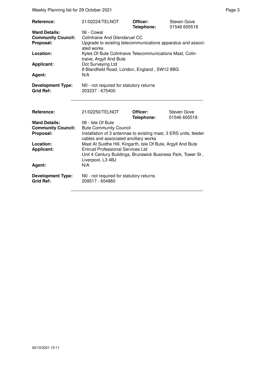Weekly Planning list for 29 October 2021 **Page 3** Page 3

| Reference:<br><b>Ward Details:</b><br><b>Community Council:</b><br>Proposal:<br>Location:<br><b>Applicant:</b><br><b>Agent:</b> | 21/02224/TELNOT<br>06 - Cowal<br><b>Colintraive And Glendaruel CC</b><br>Upgrade to existing telecommunications apparatus and associ-<br>ated works<br>Kyles Of Bute Colintraive Telecommunications Mast, Colin-<br>traive, Argyll And Bute<br>Dot Surveying Ltd<br>8 Blandfield Road, London, England, SW12 8BG<br>N/A                                                 | Officer:<br>Telephone: | Steven Gove<br>01546 605518 |
|---------------------------------------------------------------------------------------------------------------------------------|-------------------------------------------------------------------------------------------------------------------------------------------------------------------------------------------------------------------------------------------------------------------------------------------------------------------------------------------------------------------------|------------------------|-----------------------------|
| <b>Development Type:</b><br><b>Grid Ref:</b>                                                                                    | N0 - not required for statutory returns<br>203237 - 675400                                                                                                                                                                                                                                                                                                              |                        |                             |
| Reference:                                                                                                                      | 21/02250/TELNOT                                                                                                                                                                                                                                                                                                                                                         | Officer:<br>Telephone: | Steven Gove<br>01546 605518 |
| <b>Ward Details:</b><br><b>Community Council:</b><br>Proposal:<br>Location:<br><b>Applicant:</b><br>Agent:                      | 08 - Isle Of Bute<br><b>Bute Community Council</b><br>Installation of 3 antennae to existing mast, 3 ERS units, feeder<br>cables and associated ancillary works<br>Mast At Suidhe Hill, Kingarth, Isle Of Bute, Argyll And Bute<br><b>Entrust Professional Services Ltd</b><br>Unit 4 Century Buildings, Brunswick Business Park, Tower St,<br>Liverpool, L3 4BJ<br>N/A |                        |                             |
| <b>Development Type:</b><br><b>Grid Ref:</b>                                                                                    | N0 - not required for statutory returns<br>209517 - 654860                                                                                                                                                                                                                                                                                                              |                        |                             |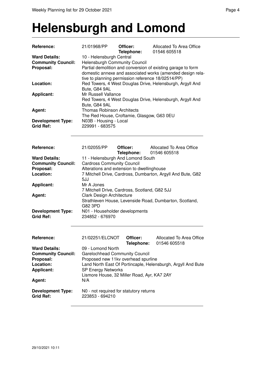#### **Helensburgh and Lomond**

| Reference:                                                                                       | 21/01968/PP                                                                                                                                                                                                                                          | Officer:<br>Telephone: | Allocated To Area Office<br>01546 605518                     |  |
|--------------------------------------------------------------------------------------------------|------------------------------------------------------------------------------------------------------------------------------------------------------------------------------------------------------------------------------------------------------|------------------------|--------------------------------------------------------------|--|
| <b>Ward Details:</b><br><b>Community Council:</b><br>Proposal:                                   | 10 - Helensburgh Central<br><b>Helensburgh Community Council</b><br>Partial demolition and conversion of existing garage to form<br>domestic annexe and associated works (amended design rela-<br>tive to planning permission reference 18/02514/PP) |                        |                                                              |  |
| Location:                                                                                        | Bute, G84 9AL                                                                                                                                                                                                                                        |                        | Red Towers, 4 West Douglas Drive, Helensburgh, Argyll And    |  |
| <b>Applicant:</b>                                                                                | Mr Russell Vallance<br>Bute, G84 9AL                                                                                                                                                                                                                 |                        | Red Towers, 4 West Douglas Drive, Helensburgh, Argyll And    |  |
| Agent:                                                                                           | <b>Thomas Robinson Architects</b><br>The Red House, Croftamie, Glasgow, G63 0EU                                                                                                                                                                      |                        |                                                              |  |
| <b>Development Type:</b><br><b>Grid Ref:</b>                                                     | N03B - Housing - Local<br>229991 - 683575                                                                                                                                                                                                            |                        |                                                              |  |
| Reference:                                                                                       | 21/02055/PP                                                                                                                                                                                                                                          | Officer:<br>Telephone: | Allocated To Area Office<br>01546 605518                     |  |
| <b>Ward Details:</b>                                                                             | 11 - Helensburgh And Lomond South                                                                                                                                                                                                                    |                        |                                                              |  |
| <b>Community Council:</b>                                                                        | <b>Cardross Community Council</b>                                                                                                                                                                                                                    |                        |                                                              |  |
| Proposal:<br>Location:                                                                           | Alterations and extension to dwellinghouse                                                                                                                                                                                                           |                        | 7 Mitchell Drive, Cardross, Dumbarton, Argyll And Bute, G82  |  |
|                                                                                                  | 5JJ                                                                                                                                                                                                                                                  |                        |                                                              |  |
| <b>Applicant:</b>                                                                                | Mr A Jones                                                                                                                                                                                                                                           |                        |                                                              |  |
|                                                                                                  | 7 Mitchell Drive, Cardross, Scotland, G82 5JJ                                                                                                                                                                                                        |                        |                                                              |  |
| Agent:                                                                                           | Clark Design Architecture                                                                                                                                                                                                                            |                        |                                                              |  |
|                                                                                                  | Strathleven House, Levenside Road, Dumbarton, Scotland,<br>G82 3PD                                                                                                                                                                                   |                        |                                                              |  |
| <b>Development Type:</b><br><b>Grid Ref:</b>                                                     | N01 - Householder developments<br>234852 - 676970                                                                                                                                                                                                    |                        |                                                              |  |
| Reference:                                                                                       | 21/02251/ELCNOT                                                                                                                                                                                                                                      | Officer:<br>Telephone: | Allocated To Area Office<br>01546 605518                     |  |
| <b>Ward Details:</b><br><b>Community Council:</b><br>Proposal:<br>Location:<br><b>Applicant:</b> | 09 - Lomond North<br><b>Garelochhead Community Council</b><br>Proposed new 11kv overhead spurline<br><b>SP Energy Networks</b><br>Lismore House, 32 Miller Road, Ayr, KA7 2AY                                                                        |                        | Land North East Of Portincaple, Helensburgh, Argyll And Bute |  |
| Agent:                                                                                           | N/A                                                                                                                                                                                                                                                  |                        |                                                              |  |
| <b>Development Type:</b><br><b>Grid Ref:</b>                                                     | N0 - not required for statutory returns<br>223853 - 694210                                                                                                                                                                                           |                        |                                                              |  |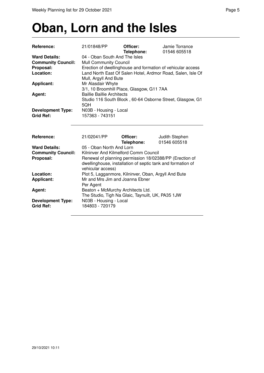### **Oban, Lorn and the Isles**

| Reference:                | 21/01848/PP                                                 | Officer:   | Jamie Torrance                                              |
|---------------------------|-------------------------------------------------------------|------------|-------------------------------------------------------------|
|                           |                                                             | Telephone: | 01546 605518                                                |
| <b>Ward Details:</b>      | 04 - Oban South And The Isles                               |            |                                                             |
| <b>Community Council:</b> | <b>Mull Community Council</b>                               |            |                                                             |
| Proposal:                 |                                                             |            | Erection of dwellinghouse and formation of vehicular access |
| Location:                 | Mull, Argyll And Bute                                       |            | Land North East Of Salen Hotel, Ardmor Road, Salen, Isle Of |
| <b>Applicant:</b>         | Mr Alasdair Whyte                                           |            |                                                             |
|                           | 3/1, 10 Broomhill Place, Glasgow, G11 7AA                   |            |                                                             |
| Agent:                    | <b>Baillie Baillie Architects</b>                           |            |                                                             |
|                           |                                                             |            | Studio 116 South Block, 60-64 Osborne Street, Glasgow, G1   |
|                           | 5QH                                                         |            |                                                             |
| <b>Development Type:</b>  | N03B - Housing - Local                                      |            |                                                             |
| <b>Grid Ref:</b>          | 157363 - 743151                                             |            |                                                             |
|                           |                                                             |            |                                                             |
|                           |                                                             |            |                                                             |
| Reference:                | 21/02041/PP                                                 | Officer:   | Judith Stephen                                              |
|                           |                                                             | Telephone: | 01546 605518                                                |
| <b>Ward Details:</b>      | 05 - Oban North And Lorn                                    |            |                                                             |
| <b>Community Council:</b> | Kilninver And Kilmelford Comm Council                       |            |                                                             |
| Proposal:                 | Renewal of planning permission 18/02388/PP (Erection of     |            |                                                             |
|                           | dwellinghouse, installation of septic tank and formation of |            |                                                             |
|                           | vehicular access)                                           |            |                                                             |
| Location:                 | Plot 5, Lagganmore, Kilninver, Oban, Argyll And Bute        |            |                                                             |
| Applicant:                | Mr and Mrs Jim and Joanna Ebner                             |            |                                                             |
|                           | Per Agent                                                   |            |                                                             |
| Agent:                    | Beaton + McMurchy Architects Ltd.                           |            |                                                             |
|                           | The Studio, Tigh Na Glaic, Taynuilt, UK, PA35 1JW           |            |                                                             |
| <b>Development Type:</b>  | N03B - Housing - Local                                      |            |                                                             |
| <b>Grid Ref:</b>          | 184803 - 720179                                             |            |                                                             |
|                           |                                                             |            |                                                             |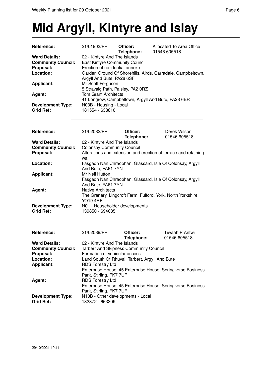## **Mid Argyll, Kintyre and Islay**

| <b>Reference:</b>         | 21/01903/PP                                                 | Officer:<br>Telephone: | Allocated To Area Office<br>01546 605518           |
|---------------------------|-------------------------------------------------------------|------------------------|----------------------------------------------------|
| <b>Ward Details:</b>      | 02 - Kintyre And The Islands                                |                        |                                                    |
| <b>Community Council:</b> | East Kintyre Community Council                              |                        |                                                    |
| Proposal:                 | Erection of residential annexe                              |                        |                                                    |
| Location:                 | Garden Ground Of Shorehills, Airds, Carradale, Campbeltown, |                        |                                                    |
|                           | Argyll And Bute, PA28 6SF                                   |                        |                                                    |
| <b>Applicant:</b>         | Mr Scott Ferguson                                           |                        |                                                    |
|                           | 5 Stravaig Path, Paisley, PA2 0RZ                           |                        |                                                    |
| Agent:                    | <b>Tom Grant Architects</b>                                 |                        |                                                    |
|                           |                                                             |                        | 41 Longrow, Campbeltown, Argyll And Bute, PA28 6ER |
| <b>Development Type:</b>  | N03B - Housing - Local                                      |                        |                                                    |
| <b>Grid Ref:</b>          | 181554 - 638810                                             |                        |                                                    |

| Reference:                                   | 21/02032/PP                                                                                                 | Officer:   | Derek Wilson |
|----------------------------------------------|-------------------------------------------------------------------------------------------------------------|------------|--------------|
|                                              |                                                                                                             | Telephone: | 01546 605518 |
| <b>Ward Details:</b>                         | 02 - Kintyre And The Islands                                                                                |            |              |
| <b>Community Council:</b>                    | <b>Colonsay Community Council</b>                                                                           |            |              |
| Proposal:                                    | Alterations and extension and erection of terrace and retaining<br>wall                                     |            |              |
| Location:                                    | Fasgadh Nan Chraobhan, Glassard, Isle Of Colonsay, Argyll<br>And Bute, PA61 7YN                             |            |              |
| <b>Applicant:</b>                            | Mr Neil Hutton                                                                                              |            |              |
| Agent:                                       | Fasgadh Nan Chraobhan, Glassard, Isle Of Colonsay, Argyll<br>And Bute, PA61 7YN<br><b>Native Architects</b> |            |              |
|                                              | The Granary, Lingcroft Farm, Fulford, York, North Yorkshire,<br>YO19 4RE                                    |            |              |
| <b>Development Type:</b><br><b>Grid Ref:</b> | N01 - Householder developments<br>139850 - 694685                                                           |            |              |

| Reference:                                   | 21/02039/PP                                          | Officer:<br>Telephone: | Tiwaah P Antwi<br>01546 605518                              |
|----------------------------------------------|------------------------------------------------------|------------------------|-------------------------------------------------------------|
| <b>Ward Details:</b>                         | 02 - Kintyre And The Islands                         |                        |                                                             |
| <b>Community Council:</b>                    | Tarbert And Skipness Community Council               |                        |                                                             |
| Proposal:                                    | Formation of vehicular access                        |                        |                                                             |
| Location:                                    | Land South Of Rhuval, Tarbert, Argyll And Bute       |                        |                                                             |
| <b>Applicant:</b>                            | <b>RDS Forestry Ltd</b>                              |                        |                                                             |
|                                              | Park, Stirling, FK7 7UF                              |                        | Enterprise House, 45 Enterprise House, Springkerse Business |
| Agent:                                       | <b>RDS Forestry Ltd</b>                              |                        |                                                             |
|                                              | Park, Stirling, FK7 7UF                              |                        | Enterprise House, 45 Enterprise House, Springkerse Business |
| <b>Development Type:</b><br><b>Grid Ref:</b> | N10B - Other developments - Local<br>182872 - 663309 |                        |                                                             |